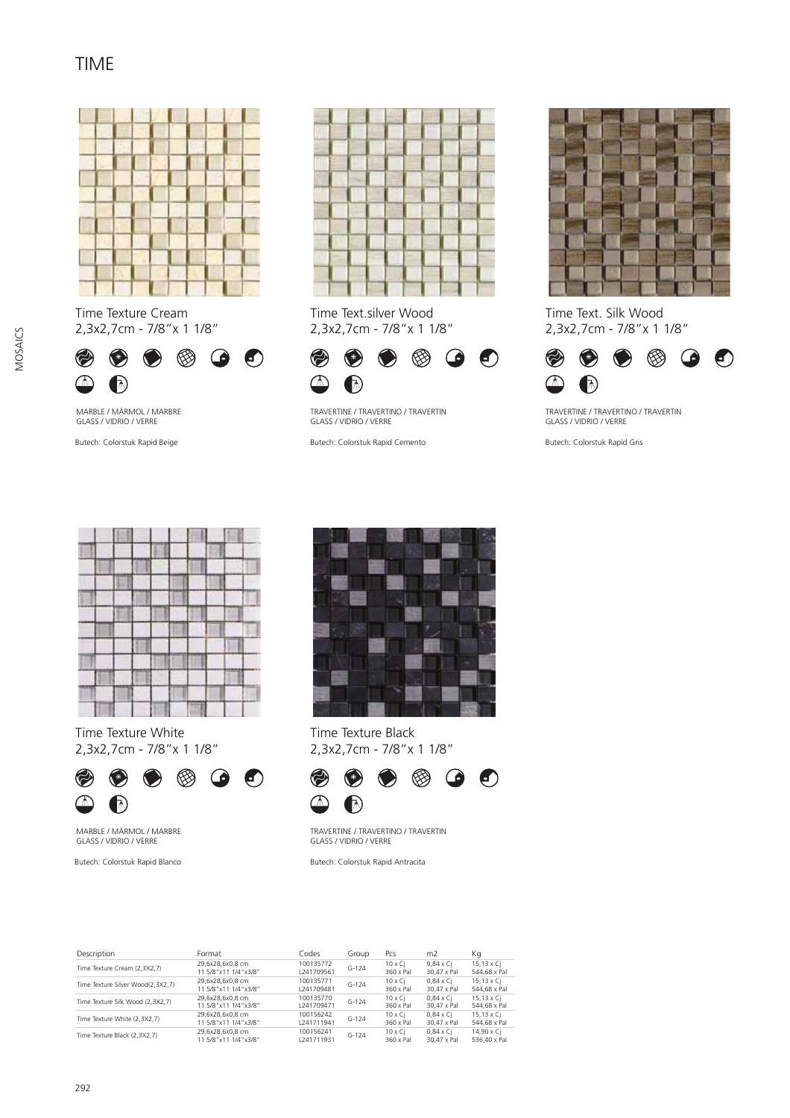## TIME



Time Texture Cream 2,3x2,7cm - 7/8"x 1 1/8"



MARBLE / MÁRMOL / MARBRE GLASS / VIDRIO / VERRE



Time Text.silver Wood 2,3x2,7cm - 7/8"x 1 1/8"



TRAVERTINE / TRAVERTINO / TRAVERTIN GLASS / VIDRIO / VERRE

Butech: Colorstuk Rapid Beige **Butech: Exception Butech: Colorstuk Rapid Cemento** 



Time Text. Silk Wood 2,3x2,7cm - 7/8"x 1 1/8"



TRAVERTINE / TRAVERTINO / TRAVERTIN GLASS / VIDRIO / VERRE

Butech: Colorstuk Rapid Gris

| ٠<br>m<br>۰<br>٠<br>211<br>٠<br>٠<br>٠    |  |  |  |      |
|-------------------------------------------|--|--|--|------|
|                                           |  |  |  |      |
|                                           |  |  |  |      |
|                                           |  |  |  |      |
|                                           |  |  |  |      |
| ٠<br>÷<br>۰<br>                           |  |  |  | $-1$ |
| -<br>v<br>۰<br>n<br>×<br>٠<br>×<br>×<br>٠ |  |  |  |      |
|                                           |  |  |  |      |
|                                           |  |  |  |      |

Time Texture White 2,3x2,7cm - 7/8"x 1 1/8"



MARBLE / MÁRMOL / MARBRE GLASS / VIDRIO / VERRE

Butech: Colorstuk Rapid Blanco



Time Texture Black 2,3x2,7cm - 7/8"x 1 1/8"



TRAVERTINE / TRAVERTINO / TRAVERTIN GLASS / VIDRIO / VERRE

Butech: Colorstuk Rapid Antracita

| Description                       | Format                                   | Codes                   | Group     | Pcs                          | m <sub>2</sub>                  | Кq                                |
|-----------------------------------|------------------------------------------|-------------------------|-----------|------------------------------|---------------------------------|-----------------------------------|
| Time Texture Cream (2,3X2,7)      | 29,6x28,6x0,8 cm<br>11 5/8"x11 1/4"x3/8" | 100135772<br>L241709561 | $G-124$   | $10 \times$ Ci<br>360 x Pal  | $0.84 \times C1$<br>30.47 x Pal | $15,13 \times C$<br>544.68 x Pal  |
| Time Texture Silver Wood(2.3X2.7) | 29.6x28.6x0.8 cm<br>11 5/8"x11 1/4"x3/8" | 100135771<br>L241709481 | $G-124$   | $10 \times Ci$<br>360 x Pal  | $0.84 \times C1$<br>30.47 x Pal | $15.13 \times Ci$<br>544.68 x Pal |
| Time Texture Silk Wood (2.3X2.7)  | 29.6x28.6x0.8 cm<br>11 5/8"x11 1/4"x3/8" | 100135770<br>1241709471 | $G-124$   | $10 \times C_1$<br>360 x Pal | $0.84 \times C1$<br>30.47 x Pal | 15.13 x Ci<br>544.68 x Pal        |
| Time Texture White (2.3X2.7)      | 29.6x28.6x0.8 cm<br>11 5/8"x11 1/4"x3/8" | 100156242<br>1241711941 | $G-124$   | $10 \times Ci$<br>360 x Pal  | $0.84 \times C1$<br>30.47 x Pal | 15.13 x Ci<br>544.68 x Pal        |
| Time Texture Black (2,3X2,7)      | 29,6x28,6x0,8 cm<br>11 5/8"x11 1/4"x3/8" | 100156241<br>L241711931 | $G - 124$ | $10 \times Ci$<br>360 x Pal  | $0.84 \times C1$<br>30.47 x Pal | 14.90 x Ci<br>536.40 x Pal        |